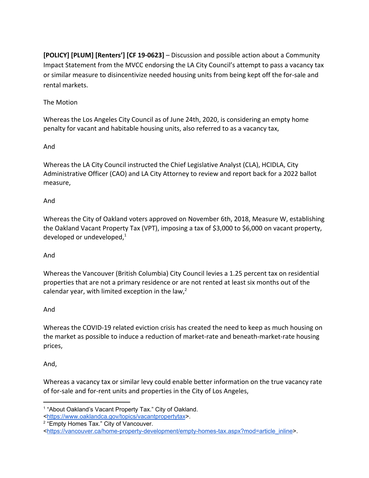**[POLICY] [PLUM] [Renters'] [CF 19-0623]** – Discussion and possible action about a Community Impact Statement from the MVCC endorsing the LA City Council's attempt to pass a vacancy tax or similar measure to disincentivize needed housing units from being kept off the for-sale and rental markets.

### The Motion

Whereas the Los Angeles City Council as of June 24th, 2020, is considering an empty home penalty for vacant and habitable housing units, also referred to as a vacancy tax,

#### And

Whereas the LA City Council instructed the Chief Legislative Analyst (CLA), HCIDLA, City Administrative Officer (CAO) and LA City Attorney to review and report back for a 2022 ballot measure,

### And

Whereas the City of Oakland voters approved on November 6th, 2018, Measure W, establishing the Oakland Vacant Property Tax (VPT), imposing a tax of \$3,000 to \$6,000 on vacant property, developed or undeveloped, $1$ 

# And

Whereas the Vancouver (British Columbia) City Council levies a 1.25 percent tax on residential properties that are not a primary residence or are not rented at least six months out of the calendar year, with limited exception in the law, $<sup>2</sup>$ </sup>

#### And

Whereas the COVID-19 related eviction crisis has created the need to keep as much housing on the market as possible to induce a reduction of market-rate and beneath-market-rate housing prices,

# And,

Whereas a vacancy tax or similar levy could enable better information on the true vacancy rate of for-sale and for-rent units and properties in the City of Los Angeles,

<sup>&</sup>lt;sup>1</sup> "About Oakland's Vacant Property Tax." City of Oakland.

<sup>&</sup>lt;[https://www.oaklandca.gov/topics/vacantpropertytax>](https://www.oaklandca.gov/topics/vacantpropertytax).

<sup>&</sup>lt;sup>2</sup> "Empty Homes Tax." City of Vancouver.

<sup>&</sup>lt;[https://vancouver.ca/home-property-development/empty-homes-tax.aspx?mod=article\\_inline>](https://vancouver.ca/home-property-development/empty-homes-tax.aspx?mod=article_inline).